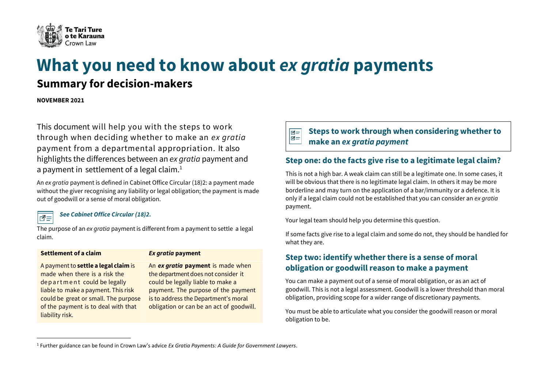

# **What you need to know about** *ex gratia* **payments**

## **Summary for decision-makers**

**NOVEMBER 2021** 

This document will help you with the steps to work through when deciding whether to make an *ex gratia* payment from a departmental appropriation. It also highlights the differences between an *ex gratia* payment and a payment in settlement of a legal claim. $<sup>1</sup>$ </sup>

An *ex gratia* payment is defined in Cabinet Office Circular (18)2: a payment made without the giver recognising any liability or legal obligation; the payment is made out of goodwill or a sense of moral obligation.

*See [Cabinet Office Circular \(18\)2.](https://dpmc.govt.nz/publications/co-18-2-proposals-financial-implications-and-financial-authorities)* 

The purpose of an *ex gratia* payment is different from a payment to settle a legal claim.

#### **Settlement of a claim** *Ex gratia* **payment**

∣∣न=

A paymentto **settle a legal claim** is made when there is a risk the de p a r t m e n t could be legally liable to make a payment. This risk could be great or small. The purpose of the payment is to deal with that liability risk.

An *ex gratia* **payment** is made when the department does not consider it could be legally liable to make a payment. The purpose of the payment is to address the Department's moral obligation or can be an act of goodwill.

#### $\overline{\mathbb{R}}$ ∣ਕ=

**Steps to work through when considering whetherto make an** *ex gratia payment*

## **Step one: do the facts give rise to a legitimate legal claim?**

This is not a high bar. A weak claim can still be a legitimate one. In some cases, it will be obvious that there is no legitimate legal claim. In others it may be more borderline and may turn on the application of a bar/immunity or a defence. It is only if a legal claim could not be established that you can consider an *ex gratia* payment.

Your legal team should help you determine this question.

If some facts give rise to a legal claim and some do not, they should be handled for what they are.

## **Step two: identify whether there is a sense of moral obligation or goodwill reason to make a payment**

You can make a payment out of a sense of moral obligation, or as an act of goodwill. This is not a legal assessment. Goodwill is a lower threshold than moral obligation, providing scope for a wider range of discretionary payments.

You must be able to articulate what you consider the goodwill reason or moral obligation to be.

<sup>1</sup> Further guidance can be found in Crown Law's advice *Ex Gratia Payments: A Guide for Government Lawyers*.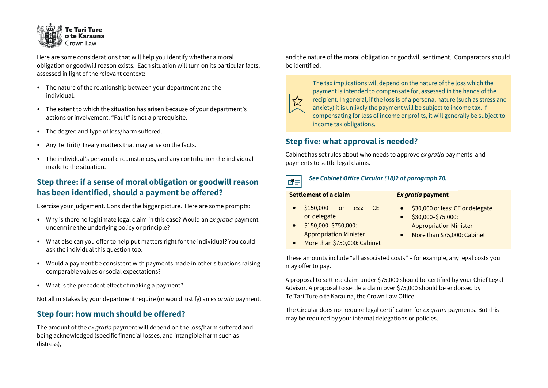

Here are some considerations that will help you identify whether a moral obligation or goodwill reason exists. Each situation will turn on its particular facts, assessed in light of the relevant context:

- The nature of the relationship between your department and the individual.
- The extent to which the situation has arisen because of your department's actions or involvement. "Fault" is not a prerequisite.
- The degree and type of loss/harm suffered.
- Any Te Tiriti/ Treaty matters that may arise on the facts.
- The individual's personal circumstances, and any contribution the individual made to the situation.

#### **Step three: if a sense of moral obligation or goodwill reason has been identified, should a payment be offered?**

Exercise your judgement. Consider the bigger picture. Here are some prompts:

- Why is there no legitimate legal claim in this case? Would an *ex gratia* payment undermine the underlying policy or principle?
- What else can you offer to help put matters right for the individual? You could ask the individual this question too.
- Would a payment be consistent with payments made in other situations raising comparable values or social expectations?
- What is the precedent effect of making a payment?

Not all mistakes by your department require (or would justify) an *ex gratia* payment.

#### **Step four: how much should be offered?**

The amount of the *ex gratia* payment will depend on the loss/harm suffered and being acknowledged (specific financial losses, and intangible harm such as distress),

and the nature of the moral obligation or goodwill sentiment. Comparators should be identified.



The tax implications will depend on the nature of the loss which the payment is intended to compensate for, assessed in the hands of the recipient. In general, if the loss is of a personal nature (such as stress and anxiety) it is unlikely the payment will be subject to income tax. If compensating for loss of income or profits, it will generally be subject to income tax obligations.

#### **Step five: what approval is needed?**

Cabinet has set rules about who needs to approve *ex gratia* payments and payments to settle legal claims.

#### *See [Cabinet Office Circular \(18\)2](https://dpmc.govt.nz/publications/co-18-2-proposals-financial-implications-and-financial-authorities) at paragraph 70.*  लि≡

| Settlement of a claim                                                                                                               | Ex gratia payment                                                                                                                   |
|-------------------------------------------------------------------------------------------------------------------------------------|-------------------------------------------------------------------------------------------------------------------------------------|
| $$150,000$ or less:<br>- CE<br>or delegate<br>\$150,000-\$750,000:<br><b>Appropriation Minister</b><br>More than \$750,000: Cabinet | \$30,000 or less: CE or delegate<br>\$30,000-\$75,000:<br><b>Appropriation Minister</b><br>More than \$75,000: Cabinet<br>$\bullet$ |

These amounts include "all associated costs" – for example, any legal costs you may offer to pay.

A proposal to settle a claim under \$75,000 should be certified by your Chief Legal Advisor. A proposal to settle a claim over \$75,000 should be endorsed by Te Tari Ture o te Karauna, the Crown Law Office.

The Circular does not require legal certification for *ex gratia* payments. But this may be required by your internal delegations or policies.